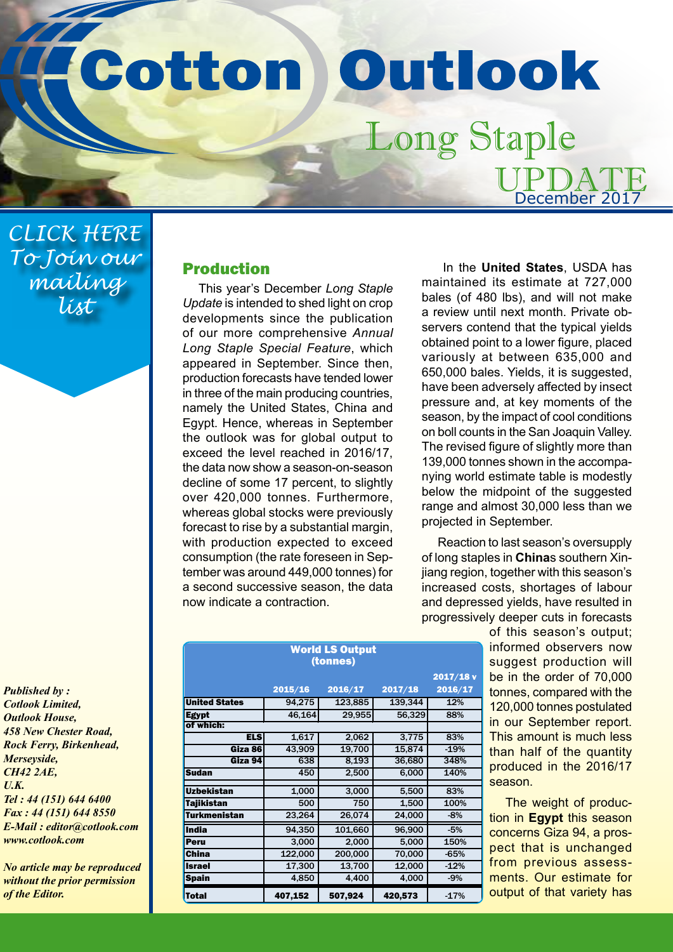## Cotton Outlook Long Staple

*CLICK HERE [To Join our](mailto:editor%40cotlook.com?subject=Join%20Our%20Long%20Staple%20Mailing%20List)  mailing list*

*Published by : Cotlook Limited, Outlook House, 458 New Chester Road, Rock Ferry, Birkenhead, Merseyside, CH42 2AE, U.K. Tel : 44 (151) 644 6400 Fax : 44 (151) 644 8550 E-Mail : editor@cotlook.com www.cotlook.com*

*No article may be reproduced without the prior permission of the Editor.*

## Production

This year's December *Long Staple Update* is intended to shed light on crop developments since the publication of our more comprehensive *Annual Long Staple Special Feature*, which appeared in September. Since then, production forecasts have tended lower in three of the main producing countries, namely the United States, China and Egypt. Hence, whereas in September the outlook was for global output to exceed the level reached in 2016/17, the data now show a season-on-season decline of some 17 percent, to slightly over 420,000 tonnes. Furthermore, whereas global stocks were previously forecast to rise by a substantial margin, with production expected to exceed consumption (the rate foreseen in September was around 449,000 tonnes) for a second successive season, the data now indicate a contraction.

| In the United States, USDA has            |
|-------------------------------------------|
| maintained its estimate at 727,000        |
| bales (of 480 lbs), and will not make     |
| a review until next month. Private ob-    |
| servers contend that the typical yields   |
| obtained point to a lower figure, placed  |
| variously at between 635,000 and          |
| 650,000 bales. Yields, it is suggested,   |
| have been adversely affected by insect    |
| pressure and, at key moments of the       |
| season, by the impact of cool conditions  |
| on boll counts in the San Joaquin Valley. |
| The revised figure of slightly more than  |
| 139,000 tonnes shown in the accompa-      |
| nying world estimate table is modestly    |
| below the midpoint of the suggested       |
| range and almost 30,000 less than we      |
| projected in September.                   |

UPDATE

December 2017

Reaction to last season's oversupply of long staples in **China**s southern Xinjiang region, together with this season's increased costs, shortages of labour and depressed yields, have resulted in progressively deeper cuts in forecasts

 $2v$ 

of this season's output; informed observers now suggest production will be in the order of 70,000 tonnes, compared with the 120,000 tonnes postulated in our September report. This amount is much less than half of the quantity produced in the 2016/17 season.

The weight of production in **Egypt** this season concerns Giza 94, a prospect that is unchanged from previous assessments. Our estimate for output of that variety has

| <b>World LS Output</b><br>(tonnes) |         |         |         |         |  |
|------------------------------------|---------|---------|---------|---------|--|
|                                    |         |         |         | 2017/18 |  |
|                                    | 2015/16 | 2016/17 | 2017/18 | 2016/17 |  |
| <b>United States</b>               | 94,275  | 123,885 | 139,344 | 12%     |  |
| <b>Egypt</b>                       | 46,164  | 29,955  | 56,329  | 88%     |  |
| of which:                          |         |         |         |         |  |
| <b>ELS</b>                         | 1,617   | 2,062   | 3.775   | 83%     |  |
| Giza 86                            | 43,909  | 19,700  | 15,874  | $-19%$  |  |
| Giza 94                            | 638     | 8,193   | 36,680  | 348%    |  |
| <b>Sudan</b>                       | 450     | 2,500   | 6,000   | 140%    |  |
|                                    |         |         |         |         |  |
| <b>Uzbekistan</b>                  | 1,000   | 3,000   | 5,500   | 83%     |  |
| <b>Tajikistan</b>                  | 500     | 750     | 1,500   | 100%    |  |
| <b>Turkmenistan</b>                | 23,264  | 26,074  | 24,000  | $-8%$   |  |
| <b>India</b>                       | 94,350  | 101,660 | 96,900  | $-5%$   |  |
| Peru                               | 3,000   | 2,000   | 5,000   | 150%    |  |
| <b>China</b>                       | 122,000 | 200,000 | 70,000  | $-65%$  |  |
| <b>Israel</b>                      | 17,300  | 13,700  | 12,000  | $-12%$  |  |
| <b>Spain</b>                       | 4,850   | 4,400   | 4,000   | $-9%$   |  |
| <b>Total</b>                       | 407,152 | 507,924 | 420,573 | $-17%$  |  |